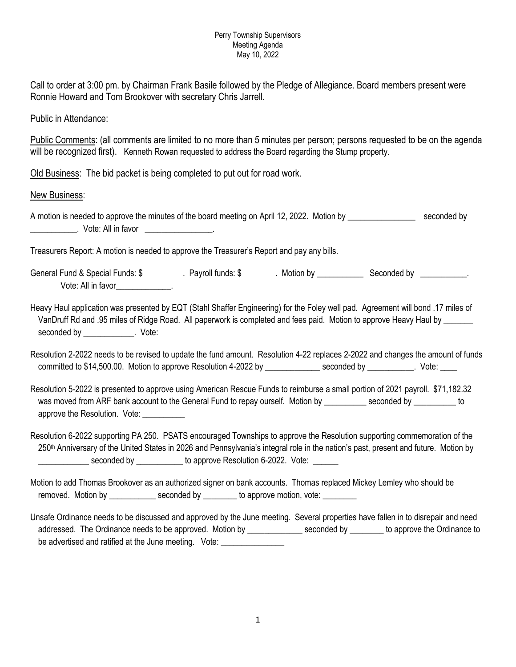## Perry Township Supervisors Meeting Agenda May 10, 2022

Call to order at 3:00 pm. by Chairman Frank Basile followed by the Pledge of Allegiance. Board members present were Ronnie Howard and Tom Brookover with secretary Chris Jarrell.

Public in Attendance:

Public Comments: (all comments are limited to no more than 5 minutes per person; persons requested to be on the agenda will be recognized first). Kenneth Rowan requested to address the Board regarding the Stump property.

Old Business: The bid packet is being completed to put out for road work.

New Business:

A motion is needed to approve the minutes of the board meeting on April 12, 2022. Motion by \_\_\_\_\_\_\_\_\_\_\_\_\_\_\_\_\_ seconded by \_\_\_\_\_\_\_\_\_\_\_. Vote: All in favor \_\_\_\_\_\_\_\_\_\_\_\_\_\_\_\_.

Treasurers Report: A motion is needed to approve the Treasurer's Report and pay any bills.

General Fund & Special Funds: \$ . Payroll funds: \$ . Motion by \_\_\_\_\_\_\_\_\_\_\_\_\_\_\_\_\_ Seconded by \_\_\_\_\_\_\_\_\_\_\_. Vote: All in favor\_\_\_\_\_\_\_\_\_\_\_\_\_.

Heavy Haul application was presented by EQT (Stahl Shaffer Engineering) for the Foley well pad. Agreement will bond .17 miles of VanDruff Rd and .95 miles of Ridge Road. All paperwork is completed and fees paid. Motion to approve Heavy Haul by \_\_\_\_\_\_\_ seconded by \_\_\_\_\_\_\_\_\_\_\_\_\_. Vote:

Resolution 2-2022 needs to be revised to update the fund amount. Resolution 4-22 replaces 2-2022 and changes the amount of funds committed to \$14,500.00. Motion to approve Resolution 4-2022 by \_\_\_\_\_\_\_\_\_\_\_\_\_ seconded by \_\_\_\_\_\_\_\_\_\_. Vote: \_\_\_

Resolution 5-2022 is presented to approve using American Rescue Funds to reimburse a small portion of 2021 payroll. \$71,182.32 was moved from ARF bank account to the General Fund to repay ourself. Motion by \_\_\_\_\_\_\_\_\_ seconded by \_\_\_\_\_\_\_\_\_ to approve the Resolution. Vote:

Resolution 6-2022 supporting PA 250. PSATS encouraged Townships to approve the Resolution supporting commemoration of the 250<sup>th</sup> Anniversary of the United States in 2026 and Pennsylvania's integral role in the nation's past, present and future. Motion by **EXECUTE:** Seconded by \_\_\_\_\_\_\_\_\_\_\_\_ to approve Resolution 6-2022. Vote: \_\_\_\_\_\_\_

Motion to add Thomas Brookover as an authorized signer on bank accounts. Thomas replaced Mickey Lemley who should be removed. Motion by \_\_\_\_\_\_\_\_\_\_\_\_\_ seconded by \_\_\_\_\_\_\_\_ to approve motion, vote:

Unsafe Ordinance needs to be discussed and approved by the June meeting. Several properties have fallen in to disrepair and need addressed. The Ordinance needs to be approved. Motion by seconded by seconded by seconded by to approve the Ordinance to be advertised and ratified at the June meeting. Vote: